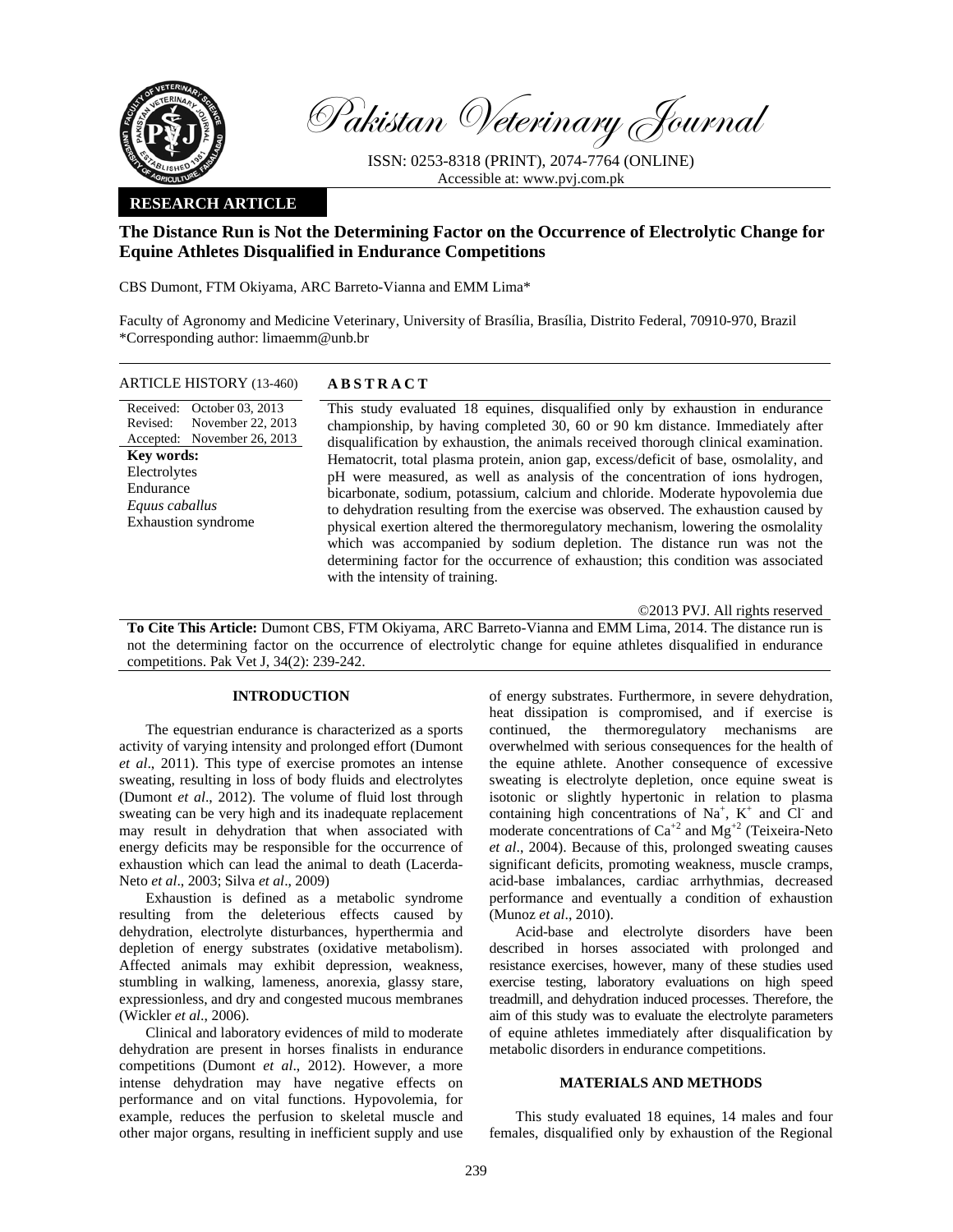

Pakistan Veterinary Journal

ISSN: 0253-8318 (PRINT), 2074-7764 (ONLINE) Accessible at: www.pvj.com.pk

## **RESEARCH ARTICLE**

# **The Distance Run is Not the Determining Factor on the Occurrence of Electrolytic Change for Equine Athletes Disqualified in Endurance Competitions**

CBS Dumont, FTM Okiyama, ARC Barreto-Vianna and EMM Lima\*

Faculty of Agronomy and Medicine Veterinary, University of Brasília, Brasília, Distrito Federal, 70910-970, Brazil \*Corresponding author: limaemm@unb.br

| <b>ARTICLE HISTORY (13-460)</b>                                                                                                                                                              | <b>ABSTRACT</b>                                                                                                                                                                                                                                                                                                                                                                                                                                                                                                                                                                                                                                                                                                                                                                                                                                                                               |
|----------------------------------------------------------------------------------------------------------------------------------------------------------------------------------------------|-----------------------------------------------------------------------------------------------------------------------------------------------------------------------------------------------------------------------------------------------------------------------------------------------------------------------------------------------------------------------------------------------------------------------------------------------------------------------------------------------------------------------------------------------------------------------------------------------------------------------------------------------------------------------------------------------------------------------------------------------------------------------------------------------------------------------------------------------------------------------------------------------|
| Received: October 03, 2013<br>November 22, 2013<br>Revised:<br>Accepted: November 26, 2013<br><b>Key words:</b><br>Electrolytes<br>Endurance<br>Equus caballus<br><b>Exhaustion syndrome</b> | This study evaluated 18 equines, disqualified only by exhaustion in endurance<br>championship, by having completed 30, 60 or 90 km distance. Immediately after<br>disqualification by exhaustion, the animals received thorough clinical examination.<br>Hematocrit, total plasma protein, anion gap, excess/deficit of base, osmolality, and<br>pH were measured, as well as analysis of the concentration of ions hydrogen,<br>bicarbonate, sodium, potassium, calcium and chloride. Moderate hypovolemia due<br>to dehydration resulting from the exercise was observed. The exhaustion caused by<br>physical exertion altered the thermoregulatory mechanism, lowering the osmolality<br>which was accompanied by sodium depletion. The distance run was not the<br>determining factor for the occurrence of exhaustion; this condition was associated<br>with the intensity of training. |

©2013 PVJ. All rights reserved

**To Cite This Article:** Dumont CBS, FTM Okiyama, ARC Barreto-Vianna and EMM Lima, 2014. The distance run is not the determining factor on the occurrence of electrolytic change for equine athletes disqualified in endurance competitions. Pak Vet J, 34(2): 239-242.

### **INTRODUCTION**

The equestrian endurance is characterized as a sports activity of varying intensity and prolonged effort (Dumont *et al*., 2011). This type of exercise promotes an intense sweating, resulting in loss of body fluids and electrolytes (Dumont *et al*., 2012). The volume of fluid lost through sweating can be very high and its inadequate replacement may result in dehydration that when associated with energy deficits may be responsible for the occurrence of exhaustion which can lead the animal to death (Lacerda-Neto *et al*., 2003; Silva *et al*., 2009)

Exhaustion is defined as a metabolic syndrome resulting from the deleterious effects caused by dehydration, electrolyte disturbances, hyperthermia and depletion of energy substrates (oxidative metabolism). Affected animals may exhibit depression, weakness, stumbling in walking, lameness, anorexia, glassy stare, expressionless, and dry and congested mucous membranes (Wickler *et al*., 2006).

Clinical and laboratory evidences of mild to moderate dehydration are present in horses finalists in endurance competitions (Dumont *et al*., 2012). However, a more intense dehydration may have negative effects on performance and on vital functions. Hypovolemia, for example, reduces the perfusion to skeletal muscle and other major organs, resulting in inefficient supply and use

of energy substrates. Furthermore, in severe dehydration, heat dissipation is compromised, and if exercise is continued, the thermoregulatory mechanisms are overwhelmed with serious consequences for the health of the equine athlete. Another consequence of excessive sweating is electrolyte depletion, once equine sweat is isotonic or slightly hypertonic in relation to plasma containing high concentrations of Na<sup>+</sup>, K<sup>+</sup> and Cl<sup>-</sup> and moderate concentrations of  $Ca^{+2}$  and  $Mg^{+2}$  (Teixeira-Neto *et al*., 2004). Because of this, prolonged sweating causes significant deficits, promoting weakness, muscle cramps, acid-base imbalances, cardiac arrhythmias, decreased performance and eventually a condition of exhaustion (Munoz *et al*., 2010).

Acid-base and electrolyte disorders have been described in horses associated with prolonged and resistance exercises, however, many of these studies used exercise testing, laboratory evaluations on high speed treadmill, and dehydration induced processes. Therefore, the aim of this study was to evaluate the electrolyte parameters of equine athletes immediately after disqualification by metabolic disorders in endurance competitions.

#### **MATERIALS AND METHODS**

This study evaluated 18 equines, 14 males and four females, disqualified only by exhaustion of the Regional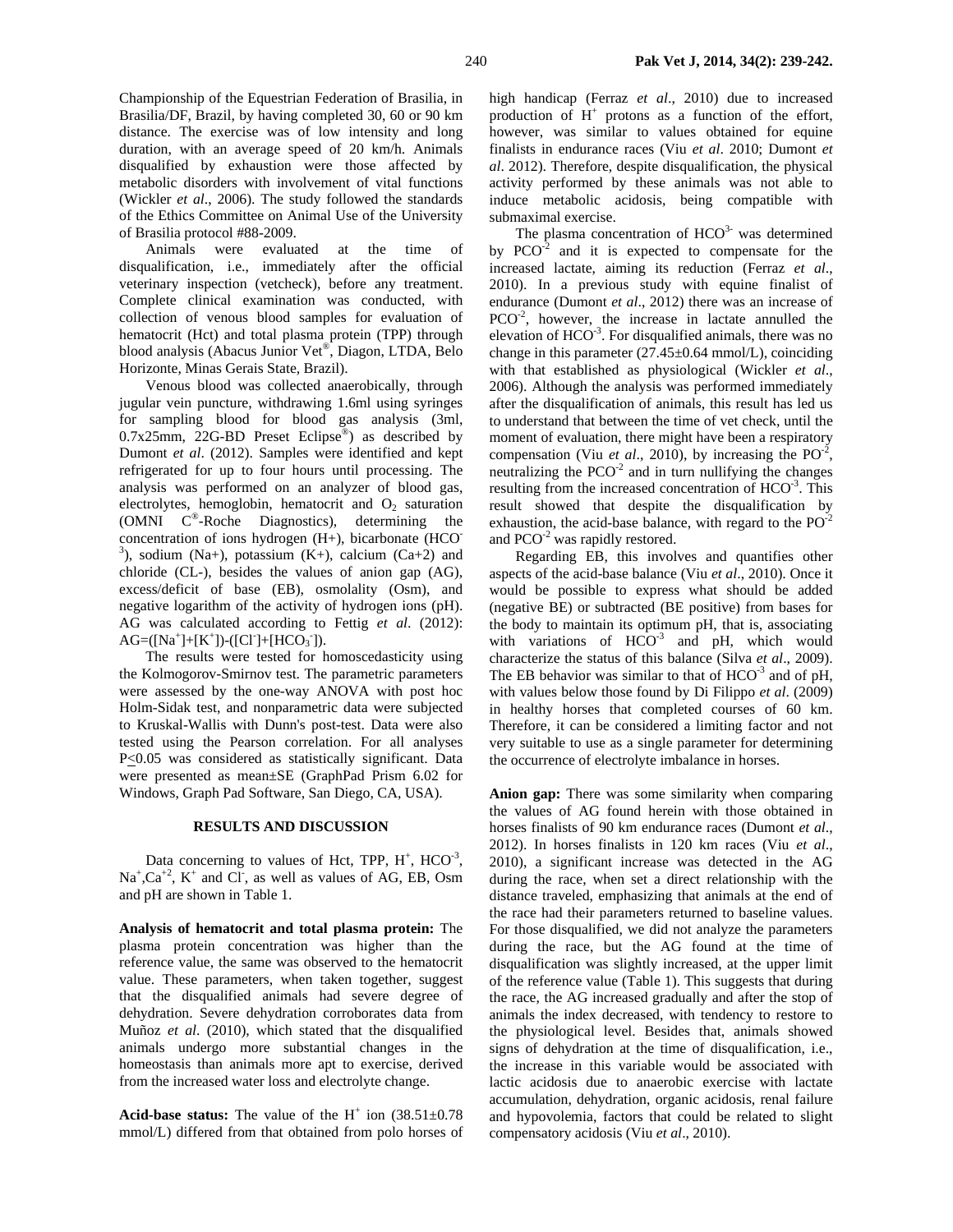Championship of the Equestrian Federation of Brasilia, in Brasilia/DF, Brazil, by having completed 30, 60 or 90 km distance. The exercise was of low intensity and long duration, with an average speed of 20 km/h. Animals disqualified by exhaustion were those affected by metabolic disorders with involvement of vital functions (Wickler *et al*., 2006). The study followed the standards of the Ethics Committee on Animal Use of the University of Brasilia protocol #88-2009.

Animals were evaluated at the time of disqualification, i.e., immediately after the official veterinary inspection (vetcheck), before any treatment. Complete clinical examination was conducted, with collection of venous blood samples for evaluation of hematocrit (Hct) and total plasma protein (TPP) through blood analysis (Abacus Junior Vet®, Diagon, LTDA, Belo Horizonte, Minas Gerais State, Brazil).

Venous blood was collected anaerobically, through jugular vein puncture, withdrawing 1.6ml using syringes for sampling blood for blood gas analysis (3ml, 0.7x25mm, 22G-BD Preset Eclipse®) as described by Dumont *et al*. (2012). Samples were identified and kept refrigerated for up to four hours until processing. The analysis was performed on an analyzer of blood gas, electrolytes, hemoglobin, hematocrit and  $O_2$  saturation (OMNI C®-Roche Diagnostics), determining the concentration of ions hydrogen (H+), bicarbonate (HCO-<sup>3</sup>), sodium (Na+), potassium (K+), calcium (Ca+2) and chloride (CL-), besides the values of anion gap (AG), excess/deficit of base (EB), osmolality (Osm), and negative logarithm of the activity of hydrogen ions (pH). AG was calculated according to Fettig *et al*. (2012):  $AG = ([Na^+] + [K^+]) - ([CI^-] + [HCO_3^-])$ .

The results were tested for homoscedasticity using the Kolmogorov-Smirnov test. The parametric parameters were assessed by the one-way ANOVA with post hoc Holm-Sidak test, and nonparametric data were subjected to Kruskal-Wallis with Dunn's post-test. Data were also tested using the Pearson correlation. For all analyses P<0.05 was considered as statistically significant. Data were presented as mean±SE (GraphPad Prism 6.02 for Windows, Graph Pad Software, San Diego, CA, USA).

#### **RESULTS AND DISCUSSION**

Data concerning to values of Hct, TPP,  $H^+$ , HCO<sup>-3</sup>,  $Na<sup>+</sup>, Ca<sup>+2</sup>, K<sup>+</sup>$  and Cl, as well as values of AG, EB, Osm and pH are shown in Table 1.

**Analysis of hematocrit and total plasma protein:** The plasma protein concentration was higher than the reference value, the same was observed to the hematocrit value. These parameters, when taken together, suggest that the disqualified animals had severe degree of dehydration. Severe dehydration corroborates data from Muñoz *et al*. (2010), which stated that the disqualified animals undergo more substantial changes in the homeostasis than animals more apt to exercise, derived from the increased water loss and electrolyte change.

Acid-base status: The value of the  $H^+$  ion  $(38.51 \pm 0.78)$ mmol/L) differed from that obtained from polo horses of high handicap (Ferraz *et al*., 2010) due to increased production of  $H^+$  protons as a function of the effort, however, was similar to values obtained for equine finalists in endurance races (Viu *et al*. 2010; Dumont *et al*. 2012). Therefore, despite disqualification, the physical activity performed by these animals was not able to induce metabolic acidosis, being compatible with submaximal exercise.

The plasma concentration of  $HCO<sup>3-</sup>$  was determined by  $PCO<sup>-2</sup>$  and it is expected to compensate for the increased lactate, aiming its reduction (Ferraz *et al*., 2010). In a previous study with equine finalist of endurance (Dumont *et al*., 2012) there was an increase of  $PCO<sup>-2</sup>$ , however, the increase in lactate annulled the elevation of  $HCO^{-3}$ . For disqualified animals, there was no change in this parameter  $(27.45\pm0.64 \text{ mmol/L})$ , coinciding with that established as physiological (Wickler *et al*., 2006). Although the analysis was performed immediately after the disqualification of animals, this result has led us to understand that between the time of vet check, until the moment of evaluation, there might have been a respiratory compensation (Viu *et al.*, 2010), by increasing the  $PO<sup>2</sup>$ , neutralizing the  $PCO<sup>-2</sup>$  and in turn nullifying the changes resulting from the increased concentration of  $HCO<sup>-3</sup>$ . This result showed that despite the disqualification by exhaustion, the acid-base balance, with regard to the  $PO^{-2}$ and PCO<sup>-2</sup> was rapidly restored.

Regarding EB, this involves and quantifies other aspects of the acid-base balance (Viu *et al*., 2010). Once it would be possible to express what should be added (negative BE) or subtracted (BE positive) from bases for the body to maintain its optimum pH, that is, associating with variations of  $HCO^{-3}$  and pH, which would characterize the status of this balance (Silva *et al*., 2009). The EB behavior was similar to that of  $HCO^{-3}$  and of pH, with values below those found by Di Filippo *et al*. (2009) in healthy horses that completed courses of 60 km. Therefore, it can be considered a limiting factor and not very suitable to use as a single parameter for determining the occurrence of electrolyte imbalance in horses.

**Anion gap:** There was some similarity when comparing the values of AG found herein with those obtained in horses finalists of 90 km endurance races (Dumont *et al*., 2012). In horses finalists in 120 km races (Viu *et al*., 2010), a significant increase was detected in the AG during the race, when set a direct relationship with the distance traveled, emphasizing that animals at the end of the race had their parameters returned to baseline values. For those disqualified, we did not analyze the parameters during the race, but the AG found at the time of disqualification was slightly increased, at the upper limit of the reference value (Table 1). This suggests that during the race, the AG increased gradually and after the stop of animals the index decreased, with tendency to restore to the physiological level. Besides that, animals showed signs of dehydration at the time of disqualification, i.e., the increase in this variable would be associated with lactic acidosis due to anaerobic exercise with lactate accumulation, dehydration, organic acidosis, renal failure and hypovolemia, factors that could be related to slight compensatory acidosis (Viu *et al*., 2010).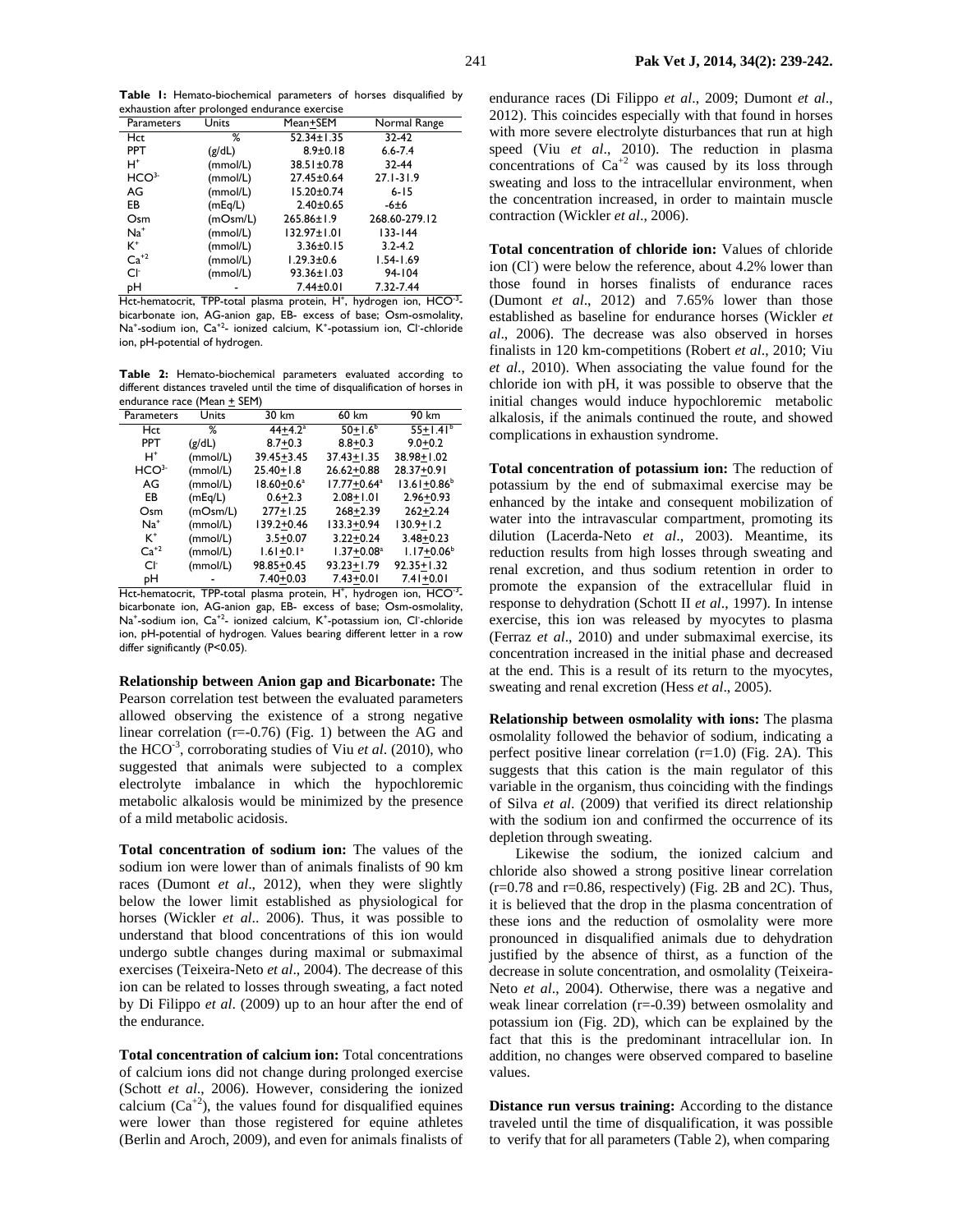**Table 1:** Hemato-biochemical parameters of horses disqualified by exhaustion after prolonged endurance exercise

| Parameters       | Units    | Mean+SEM          | Normal Range   |
|------------------|----------|-------------------|----------------|
| Hct              | ℅        | 52.34±1.35        | 32-42          |
| <b>PPT</b>       | (g/dL)   | $8.9 \pm 0.18$    | $6.6 - 7.4$    |
| $H^*$            | (mmol/L) | 38.51±0.78        | 32-44          |
| HCO <sup>3</sup> | (mmol/L) | 27.45±0.64        | $27.1 - 31.9$  |
| AG               | (mmol/L) | $15.20 \pm 0.74$  | $6 - 15$       |
| EB               | (mEq/L)  | $2.40 \pm 0.65$   | $-6±6$         |
| Osm              | (mOsm/L) | $265.86 \pm 1.9$  | 268.60-279.12  |
| $Na+$            | (mmol/L) | $132.97 \pm 1.01$ | $133 - 144$    |
| $K^+$            | (mmol/L) | $3.36 \pm 0.15$   | $3.2 - 4.2$    |
| $Ca+2$           | (mmol/L) | $1.29.3 \pm 0.6$  | $1.54 - 1.69$  |
| Cŀ               | (mmol/L) | $93.36 \pm 1.03$  | 94-104         |
| pН               |          | 7.44±0.01         | 7.32-7.44<br>. |

Hct-hematocrit, TPP-total plasma protein, H<sup>+</sup>, hydrogen ion, HCO<sup>-3</sup>bicarbonate ion, AG-anion gap, EB- excess of base; Osm-osmolality, Na<sup>+</sup>-sodium ion, Ca<sup>+2</sup>- ionized calcium, K<sup>+</sup>-potassium ion, Cl<sup>-</sup>-chloride ion, pH-potential of hydrogen.

**Table 2:** Hemato-biochemical parameters evaluated according to different distances traveled until the time of disqualification of horses in endurance race (Mean + SEM)

| Parameters       | Units    | 30 km           | 60 km                       | 90 km                       |  |  |
|------------------|----------|-----------------|-----------------------------|-----------------------------|--|--|
| <b>Hct</b>       | %        | $44 + 4.2^a$    | $50+1.6b$                   | $55+1.41^b$                 |  |  |
| <b>PPT</b>       | (g/dL)   | $8.7 + 0.3$     | $8.8 + 0.3$                 | $9.0 + 0.2$                 |  |  |
| H+               | (mmol/L) | $39.45 + 3.45$  | $37.43 + 1.35$              | 38.98+1.02                  |  |  |
| HCO <sup>3</sup> | (mmol/L) | $25.40 + 1.8$   | $26.62 + 0.88$              | 28.37+0.91                  |  |  |
| AG               | (mmol/L) | $18.60 + 0.6^a$ | $17.77 + 0.64$ <sup>a</sup> | $13.61 + 0.86$ <sup>b</sup> |  |  |
| EB               | (mEq/L)  | $0.6 + 2.3$     | $2.08 + 1.01$               | $2.96 + 0.93$               |  |  |
| Osm              | (mOsm/L) | $277+1.25$      | $268 + 2.39$                | $262 + 2.24$                |  |  |
| $Na+$            | (mmol/L) | 139.2+0.46      | 133.3+0.94                  | $130.9 + 1.2$               |  |  |
| $K^+$            | (mmol/L) | $3.5 + 0.07$    | $3.22 + 0.24$               | $3.48 + 0.23$               |  |  |
| $Ca+2$           | (mmol/L) | $1.61 + 0.1a$   | $1.37 + 0.08a$              | $1.17 + 0.06^b$             |  |  |
| Cŀ               | (mmol/L) | 98.85+0.45      | $93.23 + 1.79$              | $92.35 + 1.32$              |  |  |
| pН               |          | $7.40 + 0.03$   | $7.43 + 0.01$               | $7.41 + 0.01$               |  |  |

Hct-hematocrit, TPP-total plasma protein, H<sup>+</sup>, hydrogen ion, HCO<sup>-3</sup>bicarbonate ion, AG-anion gap, EB- excess of base; Osm-osmolality, Na<sup>+</sup>-sodium ion, Ca<sup>+2</sup>- ionized calcium, K<sup>+</sup>-potassium ion, Cl<sup>-</sup>-chloride ion, pH-potential of hydrogen. Values bearing different letter in a row differ significantly (P<0.05).

**Relationship between Anion gap and Bicarbonate:** The Pearson correlation test between the evaluated parameters allowed observing the existence of a strong negative linear correlation (r=-0.76) (Fig. 1) between the AG and the HCO-3, corroborating studies of Viu *et al*. (2010), who suggested that animals were subjected to a complex electrolyte imbalance in which the hypochloremic metabolic alkalosis would be minimized by the presence of a mild metabolic acidosis.

**Total concentration of sodium ion:** The values of the sodium ion were lower than of animals finalists of 90 km races (Dumont *et al*., 2012), when they were slightly below the lower limit established as physiological for horses (Wickler *et al*.. 2006). Thus, it was possible to understand that blood concentrations of this ion would undergo subtle changes during maximal or submaximal exercises (Teixeira-Neto *et al*., 2004). The decrease of this ion can be related to losses through sweating, a fact noted by Di Filippo *et al*. (2009) up to an hour after the end of the endurance.

**Total concentration of calcium ion:** Total concentrations of calcium ions did not change during prolonged exercise (Schott *et al*., 2006). However, considering the ionized calcium  $(Ca^{+2})$ , the values found for disqualified equines were lower than those registered for equine athletes (Berlin and Aroch, 2009), and even for animals finalists of

endurance races (Di Filippo *et al*., 2009; Dumont *et al*., 2012). This coincides especially with that found in horses with more severe electrolyte disturbances that run at high speed (Viu *et al*., 2010). The reduction in plasma concentrations of  $Ca^{+2}$  was caused by its loss through sweating and loss to the intracellular environment, when the concentration increased, in order to maintain muscle contraction (Wickler *et al*., 2006).

**Total concentration of chloride ion:** Values of chloride ion (Cl<sup>-</sup>) were below the reference, about 4.2% lower than those found in horses finalists of endurance races (Dumont *et al*., 2012) and 7.65% lower than those established as baseline for endurance horses (Wickler *et al*., 2006). The decrease was also observed in horses finalists in 120 km-competitions (Robert *et al*., 2010; Viu *et al*., 2010). When associating the value found for the chloride ion with pH, it was possible to observe that the initial changes would induce hypochloremic metabolic alkalosis, if the animals continued the route, and showed complications in exhaustion syndrome.

**Total concentration of potassium ion:** The reduction of potassium by the end of submaximal exercise may be enhanced by the intake and consequent mobilization of water into the intravascular compartment, promoting its dilution (Lacerda-Neto *et al*., 2003). Meantime, its reduction results from high losses through sweating and renal excretion, and thus sodium retention in order to promote the expansion of the extracellular fluid in response to dehydration (Schott II *et al*., 1997). In intense exercise, this ion was released by myocytes to plasma (Ferraz *et al*., 2010) and under submaximal exercise, its concentration increased in the initial phase and decreased at the end. This is a result of its return to the myocytes, sweating and renal excretion (Hess *et al*., 2005).

**Relationship between osmolality with ions:** The plasma osmolality followed the behavior of sodium, indicating a perfect positive linear correlation (r=1.0) (Fig. 2A). This suggests that this cation is the main regulator of this variable in the organism, thus coinciding with the findings of Silva *et al*. (2009) that verified its direct relationship with the sodium ion and confirmed the occurrence of its depletion through sweating.

Likewise the sodium, the ionized calcium and chloride also showed a strong positive linear correlation  $(r=0.78$  and  $r=0.86$ , respectively) (Fig. 2B and 2C). Thus, it is believed that the drop in the plasma concentration of these ions and the reduction of osmolality were more pronounced in disqualified animals due to dehydration justified by the absence of thirst, as a function of the decrease in solute concentration, and osmolality (Teixeira-Neto *et al*., 2004). Otherwise, there was a negative and weak linear correlation (r=-0.39) between osmolality and potassium ion (Fig. 2D), which can be explained by the fact that this is the predominant intracellular ion. In addition, no changes were observed compared to baseline values.

**Distance run versus training:** According to the distance traveled until the time of disqualification, it was possible to verify that for all parameters (Table 2), when comparing